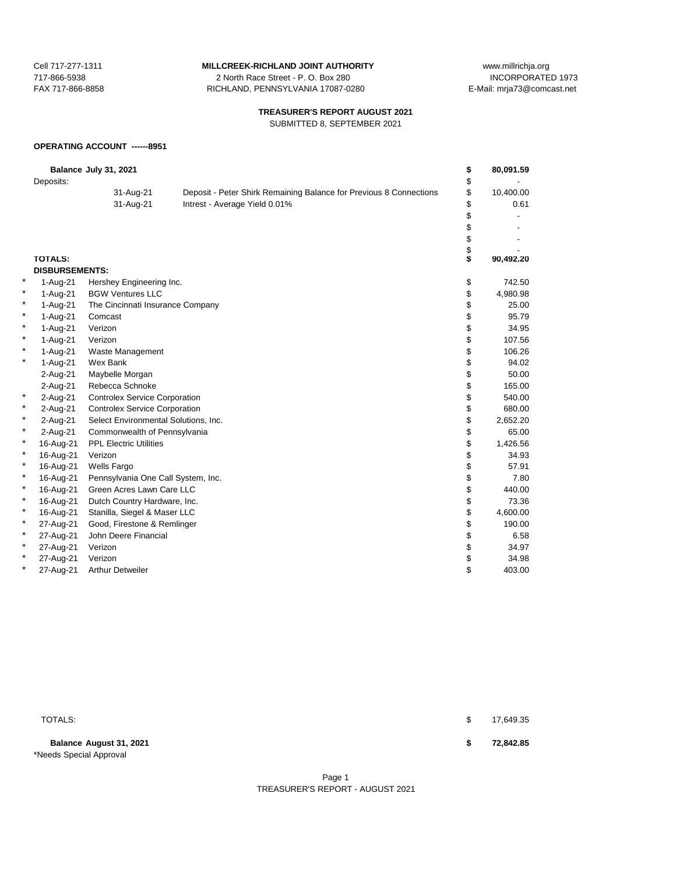717-866-5938 2 North Race Street - P. O. Box 280 FAX 717-866-8858 RICHLAND, PENNSYLVANIA 17087-0280 E-Mail: mrja73@comcast.net

Cell 717-277-1311 **MILLCREEK-RICHLAND JOINT AUTHORITY** www.millrichja.org<br>717-866-5938 1073 12 North Race Street - P. O. Box 280

# **TREASURER'S REPORT AUGUST 2021**

SUBMITTED 8, SEPTEMBER 2021

# **OPERATING ACCOUNT ------8951**

|   | Deposits:             | Balance July 31, 2021                |                                                                    | \$<br>\$ | 80,091.59 |
|---|-----------------------|--------------------------------------|--------------------------------------------------------------------|----------|-----------|
|   |                       | 31-Aug-21                            | Deposit - Peter Shirk Remaining Balance for Previous 8 Connections | \$       | 10,400.00 |
|   |                       | 31-Aug-21                            | Intrest - Average Yield 0.01%                                      | \$       | 0.61      |
|   |                       |                                      |                                                                    | \$       |           |
|   |                       |                                      |                                                                    | \$       |           |
|   |                       |                                      |                                                                    | \$       |           |
|   |                       |                                      |                                                                    | \$       |           |
|   | <b>TOTALS:</b>        |                                      |                                                                    | \$       | 90,492.20 |
|   | <b>DISBURSEMENTS:</b> |                                      |                                                                    |          |           |
| * | 1-Aug-21              | Hershey Engineering Inc.             |                                                                    | \$       | 742.50    |
|   | 1-Aug-21              | <b>BGW Ventures LLC</b>              |                                                                    | \$       | 4,980.98  |
|   | 1-Aug-21              | The Cincinnati Insurance Company     |                                                                    | \$       | 25.00     |
| * | 1-Aug-21              | Comcast                              |                                                                    | \$       | 95.79     |
| * | 1-Aug-21              | Verizon                              |                                                                    | \$       | 34.95     |
| * | 1-Aug-21              | Verizon                              |                                                                    | \$       | 107.56    |
| * | 1-Aug-21              | Waste Management                     |                                                                    | \$       | 106.26    |
| * | 1-Aug-21              | Wex Bank                             |                                                                    | \$       | 94.02     |
|   | 2-Aug-21              | Maybelle Morgan                      |                                                                    | \$       | 50.00     |
|   | 2-Aug-21              | Rebecca Schnoke                      |                                                                    | \$       | 165.00    |
| * | 2-Aug-21              | <b>Controlex Service Corporation</b> |                                                                    | \$       | 540.00    |
| * | 2-Aug-21              | <b>Controlex Service Corporation</b> |                                                                    | \$       | 680.00    |
| * | 2-Aug-21              | Select Environmental Solutions, Inc. |                                                                    | \$       | 2,652.20  |
| * | 2-Aug-21              | Commonwealth of Pennsylvania         |                                                                    | \$       | 65.00     |
| × | 16-Aug-21             | <b>PPL Electric Utilities</b>        |                                                                    | \$       | 1,426.56  |
| * | 16-Aug-21             | Verizon                              |                                                                    | \$       | 34.93     |
| * | 16-Aug-21             | <b>Wells Fargo</b>                   |                                                                    | \$       | 57.91     |
| * | 16-Aug-21             | Pennsylvania One Call System, Inc.   |                                                                    | \$       | 7.80      |
| * | 16-Aug-21             | Green Acres Lawn Care LLC            |                                                                    | \$       | 440.00    |
| * | 16-Aug-21             | Dutch Country Hardware, Inc.         |                                                                    | \$       | 73.36     |
| * | 16-Aug-21             | Stanilla, Siegel & Maser LLC         |                                                                    | \$       | 4,600.00  |
| * | 27-Aug-21             | Good, Firestone & Remlinger          |                                                                    | \$       | 190.00    |
| * | 27-Aug-21             | John Deere Financial                 |                                                                    | \$       | 6.58      |
| * | 27-Aug-21             | Verizon                              |                                                                    | \$       | 34.97     |
| * | 27-Aug-21             | Verizon                              |                                                                    | \$       | 34.98     |
| × | 27-Aug-21             | <b>Arthur Detweiler</b>              |                                                                    | \$       | 403.00    |

**Balance August 31, 2021 \$ 72,842.85** \*Needs Special Approval

 $\texttt{TOTALS:}\quad$  to the set of the set of the set of the set of the set of the set of the set of the set of the set of the set of the set of the set of the set of the set of the set of the set of the set of the set of the set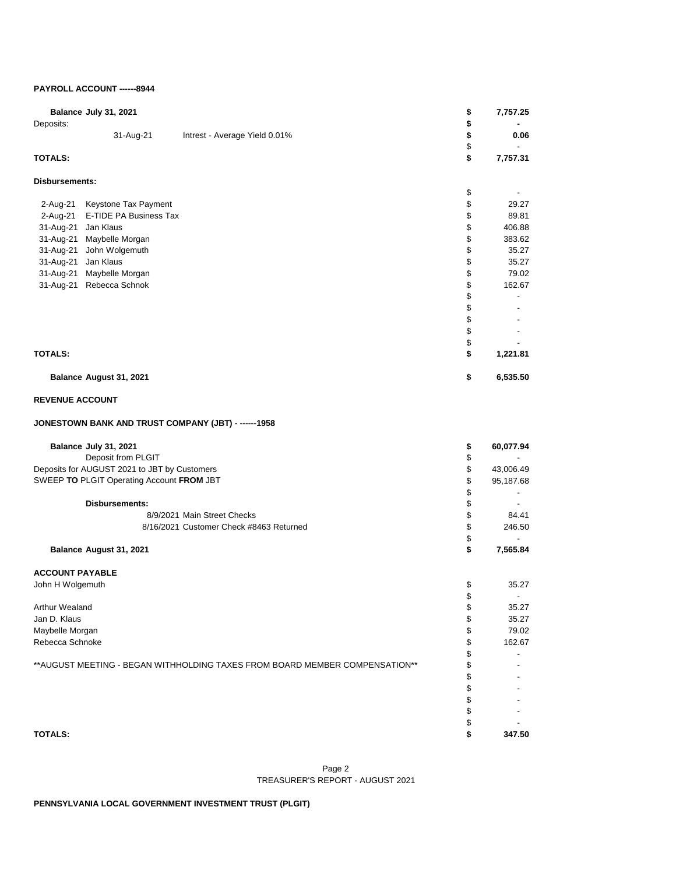# **PAYROLL ACCOUNT ------8944**

|                        | Balance July 31, 2021                        |                                                                              | \$       | 7,757.25                 |
|------------------------|----------------------------------------------|------------------------------------------------------------------------------|----------|--------------------------|
| Deposits:              |                                              |                                                                              | \$       |                          |
|                        | 31-Aug-21                                    | Intrest - Average Yield 0.01%                                                | \$       | 0.06                     |
| <b>TOTALS:</b>         |                                              |                                                                              | \$<br>\$ | 7,757.31                 |
|                        |                                              |                                                                              |          |                          |
| Disbursements:         |                                              |                                                                              |          |                          |
| 2-Aug-21               | Keystone Tax Payment                         |                                                                              | \$<br>\$ | 29.27                    |
| 2-Aug-21               | E-TIDE PA Business Tax                       |                                                                              | \$       | 89.81                    |
| 31-Aug-21 Jan Klaus    |                                              |                                                                              | \$       | 406.88                   |
|                        | 31-Aug-21 Maybelle Morgan                    |                                                                              | \$       | 383.62                   |
|                        | 31-Aug-21 John Wolgemuth                     |                                                                              | \$       | 35.27                    |
| 31-Aug-21 Jan Klaus    |                                              |                                                                              | \$       | 35.27                    |
|                        | 31-Aug-21 Maybelle Morgan                    |                                                                              | \$       | 79.02                    |
|                        | 31-Aug-21 Rebecca Schnok                     |                                                                              | \$       | 162.67                   |
|                        |                                              |                                                                              | \$       | $\overline{\phantom{a}}$ |
|                        |                                              |                                                                              | \$       |                          |
|                        |                                              |                                                                              | \$       |                          |
|                        |                                              |                                                                              | \$       |                          |
|                        |                                              |                                                                              | \$       |                          |
| <b>TOTALS:</b>         |                                              |                                                                              | \$       | 1,221.81                 |
|                        | Balance August 31, 2021                      |                                                                              | \$       | 6,535.50                 |
| <b>REVENUE ACCOUNT</b> |                                              |                                                                              |          |                          |
|                        |                                              | JONESTOWN BANK AND TRUST COMPANY (JBT) - ------1958                          |          |                          |
|                        | Balance July 31, 2021                        |                                                                              |          |                          |
|                        | Deposit from PLGIT                           |                                                                              | \$<br>\$ | 60,077.94                |
|                        | Deposits for AUGUST 2021 to JBT by Customers |                                                                              | \$       | 43,006.49                |
|                        | SWEEP TO PLGIT Operating Account FROM JBT    |                                                                              | \$       | 95,187.68                |
|                        |                                              |                                                                              | \$       | $\overline{\phantom{a}}$ |
|                        | <b>Disbursements:</b>                        |                                                                              | \$       |                          |
|                        |                                              | 8/9/2021 Main Street Checks                                                  | \$       | 84.41                    |
|                        |                                              | 8/16/2021 Customer Check #8463 Returned                                      | \$       | 246.50                   |
|                        |                                              |                                                                              | \$       | $\overline{\phantom{0}}$ |
|                        | Balance August 31, 2021                      |                                                                              | \$       | 7,565.84                 |
| <b>ACCOUNT PAYABLE</b> |                                              |                                                                              |          |                          |
| John H Wolgemuth       |                                              |                                                                              | \$       | 35.27                    |
|                        |                                              |                                                                              | \$       |                          |
| Arthur Wealand         |                                              |                                                                              | \$       | 35.27                    |
| Jan D. Klaus           |                                              |                                                                              | \$       | 35.27                    |
| Maybelle Morgan        |                                              |                                                                              | \$       | 79.02                    |
| Rebecca Schnoke        |                                              |                                                                              | \$       | 162.67                   |
|                        |                                              |                                                                              | \$       |                          |
|                        |                                              | ** AUGUST MEETING - BEGAN WITHHOLDING TAXES FROM BOARD MEMBER COMPENSATION** | \$       |                          |
|                        |                                              |                                                                              | \$       |                          |
|                        |                                              |                                                                              | \$       |                          |
|                        |                                              |                                                                              | \$       |                          |
|                        |                                              |                                                                              | \$       |                          |
| <b>TOTALS:</b>         |                                              |                                                                              | \$<br>\$ | 347.50                   |
|                        |                                              |                                                                              |          |                          |

### Page 2 TREASURER'S REPORT - AUGUST 2021

**PENNSYLVANIA LOCAL GOVERNMENT INVESTMENT TRUST (PLGIT)**